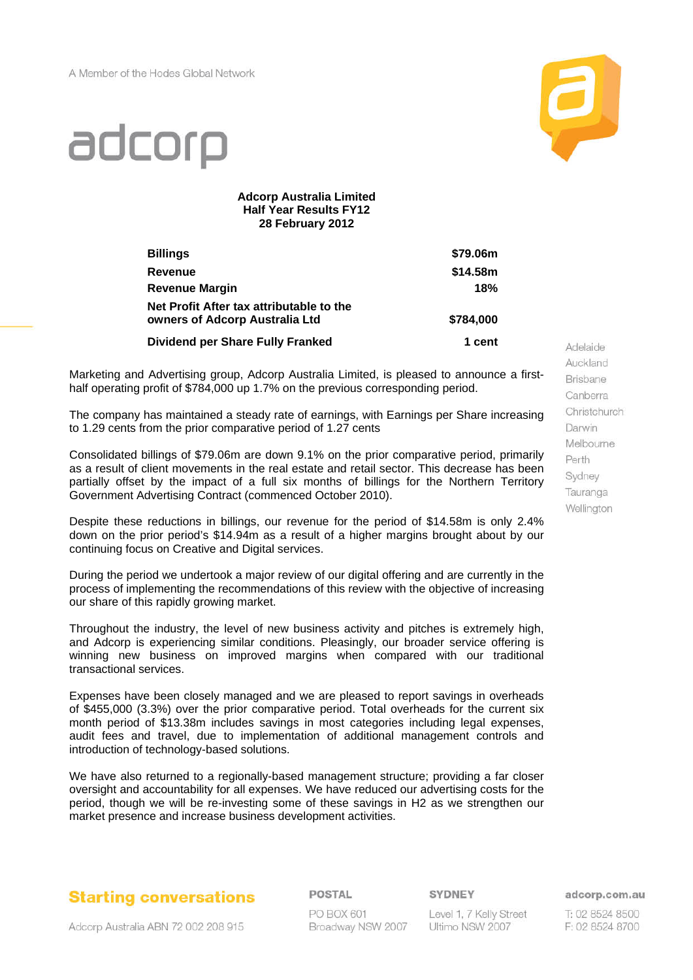

# adcorp

#### **Adcorp Australia Limited Half Year Results FY12 28 February 2012**

| <b>Billings</b>                                                            | \$79.06m  |
|----------------------------------------------------------------------------|-----------|
| Revenue                                                                    | \$14.58m  |
| <b>Revenue Margin</b>                                                      | 18%       |
| Net Profit After tax attributable to the<br>owners of Adcorp Australia Ltd | \$784,000 |
| <b>Dividend per Share Fully Franked</b>                                    | 1 cent    |

Marketing and Advertising group, Adcorp Australia Limited, is pleased to announce a firsthalf operating profit of \$784,000 up 1.7% on the previous corresponding period.

The company has maintained a steady rate of earnings, with Earnings per Share increasing to 1.29 cents from the prior comparative period of 1.27 cents

Consolidated billings of \$79.06m are down 9.1% on the prior comparative period, primarily as a result of client movements in the real estate and retail sector. This decrease has been partially offset by the impact of a full six months of billings for the Northern Territory Government Advertising Contract (commenced October 2010).

Despite these reductions in billings, our revenue for the period of \$14.58m is only 2.4% down on the prior period's \$14.94m as a result of a higher margins brought about by our continuing focus on Creative and Digital services.

During the period we undertook a major review of our digital offering and are currently in the process of implementing the recommendations of this review with the objective of increasing our share of this rapidly growing market.

Throughout the industry, the level of new business activity and pitches is extremely high, and Adcorp is experiencing similar conditions. Pleasingly, our broader service offering is winning new business on improved margins when compared with our traditional transactional services.

Expenses have been closely managed and we are pleased to report savings in overheads of \$455,000 (3.3%) over the prior comparative period. Total overheads for the current six month period of \$13.38m includes savings in most categories including legal expenses, audit fees and travel, due to implementation of additional management controls and introduction of technology-based solutions.

We have also returned to a regionally-based management structure; providing a far closer oversight and accountability for all expenses. We have reduced our advertising costs for the period, though we will be re-investing some of these savings in H2 as we strengthen our market presence and increase business development activities.



POSTAL PO BOX 601 Broadway NSW 2007 SYDNEY

Level 1, 7 Kelly Street Ultimo NSW 2007

Auckland Brisbane Canberra Christchurch Darwin Melbourne Perth Sydney Tauranga Wellington

Adelaide

adcorp.com.au

T: 02 8524 8500 F: 02 8524 8700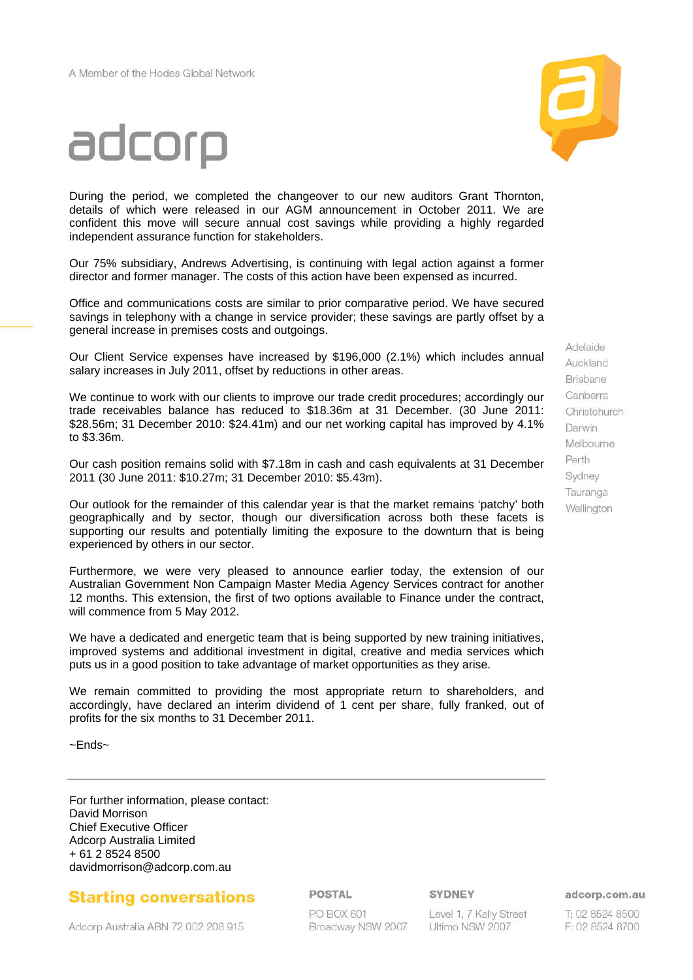



During the period, we completed the changeover to our new auditors Grant Thornton, details of which were released in our AGM announcement in October 2011. We are confident this move will secure annual cost savings while providing a highly regarded independent assurance function for stakeholders.

Our 75% subsidiary, Andrews Advertising, is continuing with legal action against a former director and former manager. The costs of this action have been expensed as incurred.

Office and communications costs are similar to prior comparative period. We have secured savings in telephony with a change in service provider; these savings are partly offset by a general increase in premises costs and outgoings.

Our Client Service expenses have increased by \$196,000 (2.1%) which includes annual salary increases in July 2011, offset by reductions in other areas.

We continue to work with our clients to improve our trade credit procedures; accordingly our trade receivables balance has reduced to \$18.36m at 31 December. (30 June 2011: \$28.56m; 31 December 2010: \$24.41m) and our net working capital has improved by 4.1% to \$3.36m.

Our cash position remains solid with \$7.18m in cash and cash equivalents at 31 December 2011 (30 June 2011: \$10.27m; 31 December 2010: \$5.43m).

Our outlook for the remainder of this calendar year is that the market remains 'patchy' both geographically and by sector, though our diversification across both these facets is supporting our results and potentially limiting the exposure to the downturn that is being experienced by others in our sector.

Furthermore, we were very pleased to announce earlier today, the extension of our Australian Government Non Campaign Master Media Agency Services contract for another 12 months. This extension, the first of two options available to Finance under the contract, will commence from 5 May 2012.

We have a dedicated and energetic team that is being supported by new training initiatives, improved systems and additional investment in digital, creative and media services which puts us in a good position to take advantage of market opportunities as they arise.

We remain committed to providing the most appropriate return to shareholders, and accordingly, have declared an interim dividend of 1 cent per share, fully franked, out of profits for the six months to 31 December 2011.

~Ends~

For further information, please contact: David Morrison Chief Executive Officer Adcorp Australia Limited + 61 2 8524 8500 davidmorrison@adcorp.com.au

## **Starting conversations**

POSTAL

PO BOX 601 Broadway NSW 2007 SYDNEY

Level 1, 7 Kelly Street Ultimo NSW 2007

adcorp.com.au

T: 02 8524 8500 F: 02 8524 8700

Adelaide Auckland **Brisbane** Canberra Christchurch Darwin Melbourne Perth Sydney Tauranga Wellington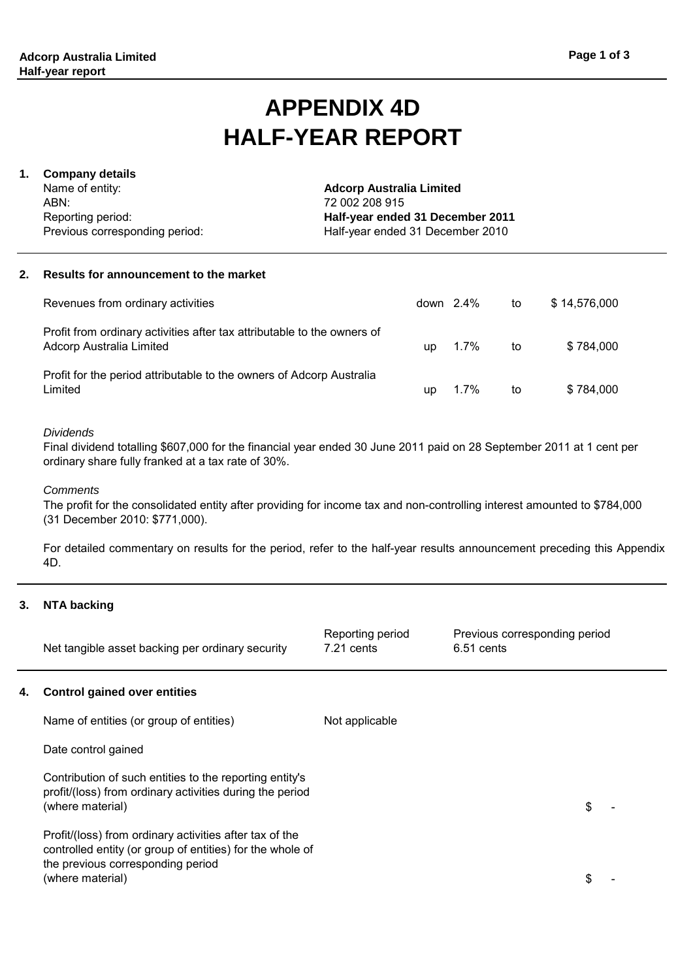## **APPENDIX 4D HALF-YEAR REPORT**

#### **1. Company details**

Name of entity: ABN: Reporting period: Previous corresponding period: **Adcorp Australia Limited** 72 002 208 915 **Half-year ended 31 December 2011** Half-year ended 31 December 2010

#### **2. Results for announcement to the market**

| Revenues from ordinary activities                                                                   |     | down 2.4% | to | \$14,576,000 |
|-----------------------------------------------------------------------------------------------------|-----|-----------|----|--------------|
| Profit from ordinary activities after tax attributable to the owners of<br>Adcorp Australia Limited | up. | 1.7%      | to | \$784.000    |
| Profit for the period attributable to the owners of Adcorp Australia<br>Limited                     | up  | $1.7\%$   | to | \$784.000    |

#### *Dividends*

Final dividend totalling \$607,000 for the financial year ended 30 June 2011 paid on 28 September 2011 at 1 cent per ordinary share fully franked at a tax rate of 30%.

*Comments*

The profit for the consolidated entity after providing for income tax and non-controlling interest amounted to \$784,000 (31 December 2010: \$771,000).

For detailed commentary on results for the period, refer to the half-year results announcement preceding this Appendix 4D.

#### **3. NTA backing**

|    | Net tangible asset backing per ordinary security                                                                                                                              | Reporting period<br>$7.21$ cents | Previous corresponding period<br>6.51 cents |   |
|----|-------------------------------------------------------------------------------------------------------------------------------------------------------------------------------|----------------------------------|---------------------------------------------|---|
| 4. | <b>Control gained over entities</b>                                                                                                                                           |                                  |                                             |   |
|    | Name of entities (or group of entities)                                                                                                                                       | Not applicable                   |                                             |   |
|    | Date control gained                                                                                                                                                           |                                  |                                             |   |
|    | Contribution of such entities to the reporting entity's<br>profit/(loss) from ordinary activities during the period<br>(where material)                                       |                                  |                                             | S |
|    | Profit/(loss) from ordinary activities after tax of the<br>controlled entity (or group of entities) for the whole of<br>the previous corresponding period<br>(where material) |                                  |                                             | S |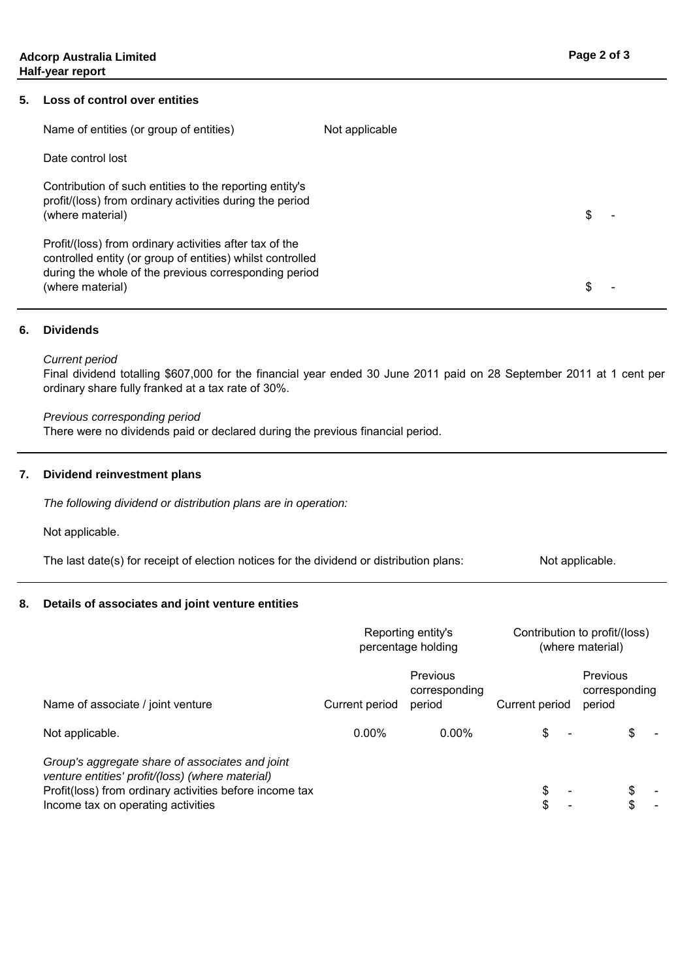#### **5. Loss of control over entities**

| Name of entities (or group of entities)                                                                                                                                                            | Not applicable |   |
|----------------------------------------------------------------------------------------------------------------------------------------------------------------------------------------------------|----------------|---|
| Date control lost                                                                                                                                                                                  |                |   |
| Contribution of such entities to the reporting entity's<br>profit/(loss) from ordinary activities during the period<br>(where material)                                                            |                | S |
| Profit/(loss) from ordinary activities after tax of the<br>controlled entity (or group of entities) whilst controlled<br>during the whole of the previous corresponding period<br>(where material) |                |   |

#### **6. Dividends**

#### *Current period*

Final dividend totalling \$607,000 for the financial year ended 30 June 2011 paid on 28 September 2011 at 1 cent per ordinary share fully franked at a tax rate of 30%.

*Previous corresponding period*

There were no dividends paid or declared during the previous financial period.

#### **7. Dividend reinvestment plans**

*The following dividend or distribution plans are in operation:*

Not applicable.

Not applicable. The last date(s) for receipt of election notices for the dividend or distribution plans:

#### **8. Details of associates and joint venture entities**

|                                                                                                                                                                                                      | Reporting entity's<br>percentage holding |                                     |                | Contribution to profit/(loss)<br>(where material) |
|------------------------------------------------------------------------------------------------------------------------------------------------------------------------------------------------------|------------------------------------------|-------------------------------------|----------------|---------------------------------------------------|
| Name of associate / joint venture                                                                                                                                                                    | Current period                           | Previous<br>corresponding<br>period | Current period | Previous<br>corresponding<br>period               |
| Not applicable.                                                                                                                                                                                      | $0.00\%$                                 | $0.00\%$                            | \$             |                                                   |
| Group's aggregate share of associates and joint<br>venture entities' profit/(loss) (where material)<br>Profit(loss) from ordinary activities before income tax<br>Income tax on operating activities |                                          |                                     | S<br>\$        |                                                   |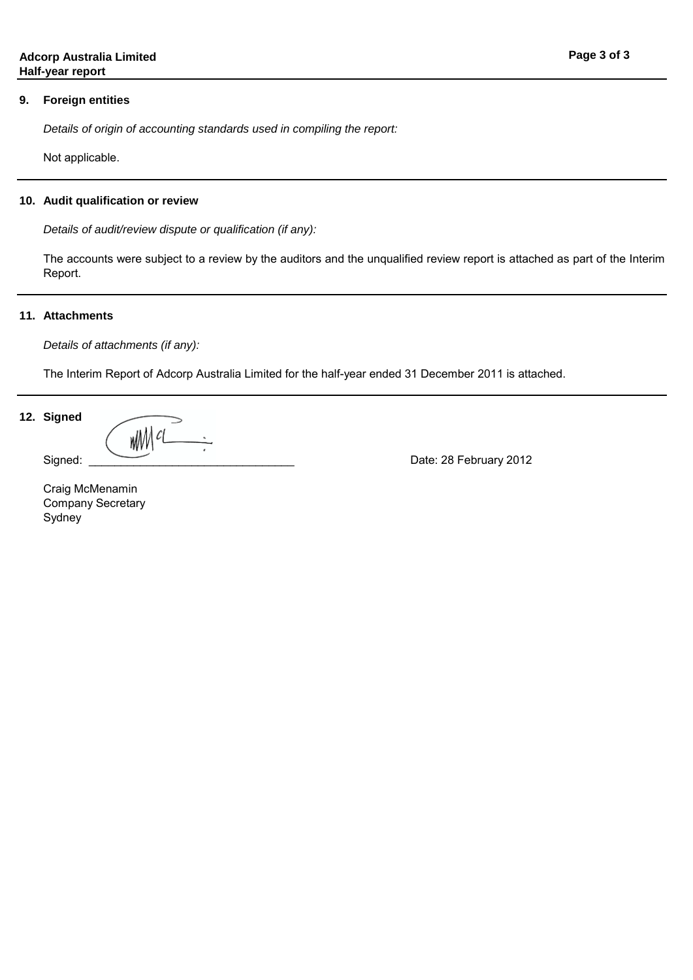#### **9. Foreign entities**

*Details of origin of accounting standards used in compiling the report:*

Not applicable.

#### **10. Audit qualification or review**

*Details of audit/review dispute or qualification (if any):*

The accounts were subject to a review by the auditors and the unqualified review report is attached as part of the Interim Report.

#### **11. Attachments**

*Details of attachments (if any):*

The Interim Report of Adcorp Australia Limited for the half-year ended 31 December 2011 is attached.

#### **12. Signed**

WWW CL

Signed: \_\_\_\_\_\_\_\_\_\_\_\_\_\_\_\_\_\_\_\_\_\_\_\_\_\_\_\_\_\_\_\_ Date: 28 February 2012

Sydney Company Secretary Craig McMenamin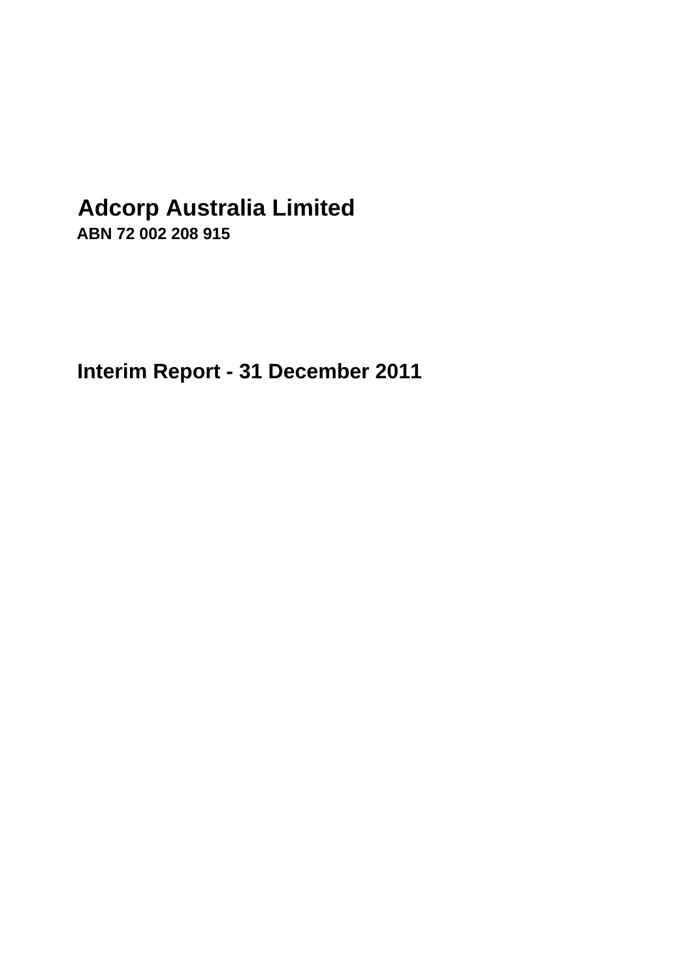# **Adcorp Australia Limited**

**ABN 72 002 208 915**

**Interim Report - 31 December 2011**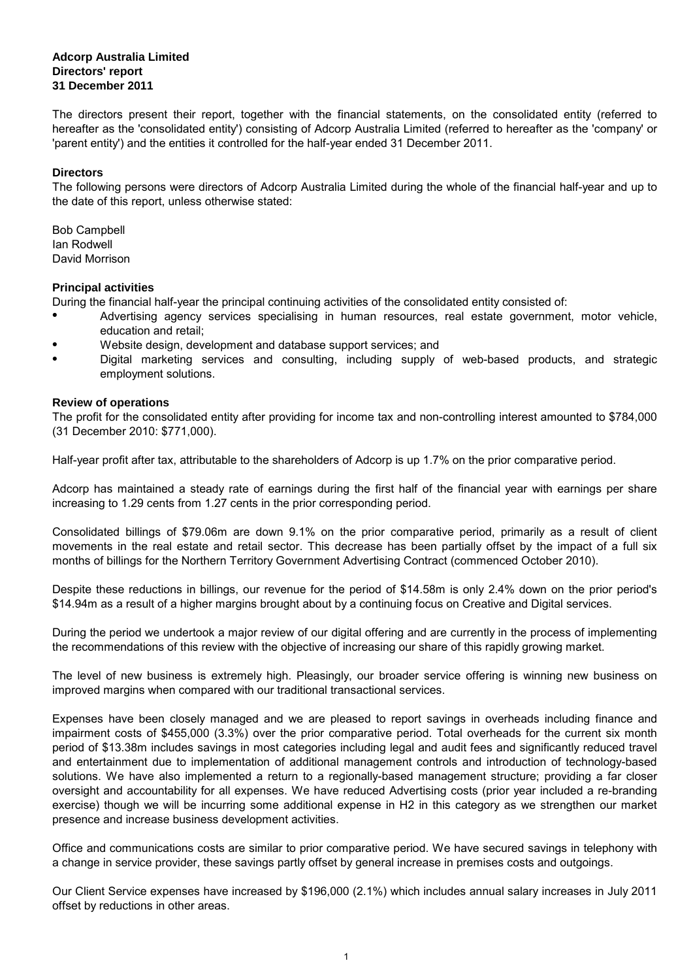#### **Adcorp Australia Limited Directors' report 31 December 2011**

The directors present their report, together with the financial statements, on the consolidated entity (referred to hereafter as the 'consolidated entity') consisting of Adcorp Australia Limited (referred to hereafter as the 'company' or 'parent entity') and the entities it controlled for the half-year ended 31 December 2011.

#### **Directors**

The following persons were directors of Adcorp Australia Limited during the whole of the financial half-year and up to the date of this report, unless otherwise stated:

David Morrison Bob Campbell Ian Rodwell

#### **Principal activities**

During the financial half-year the principal continuing activities of the consolidated entity consisted of:

- Advertising agency services specialising in human resources, real estate government, motor vehicle, education and retail;
- Website design, development and database support services; and
- Digital marketing services and consulting, including supply of web-based products, and strategic employment solutions.

#### **Review of operations**

The profit for the consolidated entity after providing for income tax and non-controlling interest amounted to \$784,000 (31 December 2010: \$771,000).

Half-year profit after tax, attributable to the shareholders of Adcorp is up 1.7% on the prior comparative period.

Adcorp has maintained a steady rate of earnings during the first half of the financial year with earnings per share increasing to 1.29 cents from 1.27 cents in the prior corresponding period.

Consolidated billings of \$79.06m are down 9.1% on the prior comparative period, primarily as a result of client movements in the real estate and retail sector. This decrease has been partially offset by the impact of a full six months of billings for the Northern Territory Government Advertising Contract (commenced October 2010).

Despite these reductions in billings, our revenue for the period of \$14.58m is only 2.4% down on the prior period's \$14.94m as a result of a higher margins brought about by a continuing focus on Creative and Digital services.

During the period we undertook a major review of our digital offering and are currently in the process of implementing the recommendations of this review with the objective of increasing our share of this rapidly growing market.

The level of new business is extremely high. Pleasingly, our broader service offering is winning new business on improved margins when compared with our traditional transactional services.

Expenses have been closely managed and we are pleased to report savings in overheads including finance and impairment costs of \$455,000 (3.3%) over the prior comparative period. Total overheads for the current six month period of \$13.38m includes savings in most categories including legal and audit fees and significantly reduced travel and entertainment due to implementation of additional management controls and introduction of technology-based solutions. We have also implemented a return to a regionally-based management structure; providing a far closer oversight and accountability for all expenses. We have reduced Advertising costs (prior year included a re-branding exercise) though we will be incurring some additional expense in H2 in this category as we strengthen our market presence and increase business development activities.

Office and communications costs are similar to prior comparative period. We have secured savings in telephony with a change in service provider, these savings partly offset by general increase in premises costs and outgoings.

Our Client Service expenses have increased by \$196,000 (2.1%) which includes annual salary increases in July 2011 offset by reductions in other areas.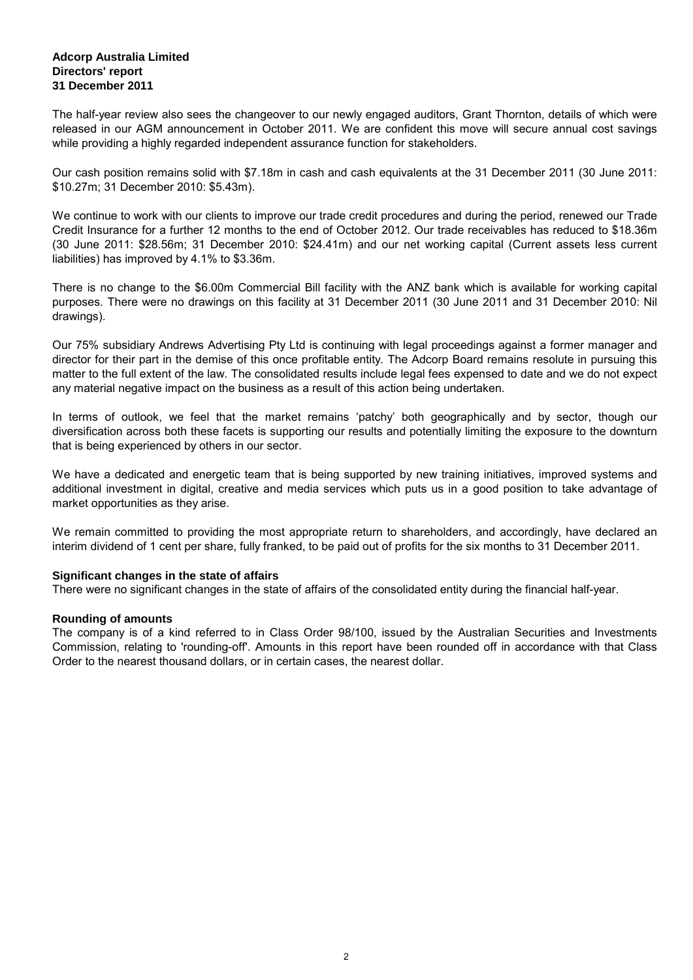#### **Adcorp Australia Limited Directors' report 31 December 2011**

The half-year review also sees the changeover to our newly engaged auditors, Grant Thornton, details of which were released in our AGM announcement in October 2011. We are confident this move will secure annual cost savings while providing a highly regarded independent assurance function for stakeholders.

Our cash position remains solid with \$7.18m in cash and cash equivalents at the 31 December 2011 (30 June 2011: \$10.27m; 31 December 2010: \$5.43m).

We continue to work with our clients to improve our trade credit procedures and during the period, renewed our Trade Credit Insurance for a further 12 months to the end of October 2012. Our trade receivables has reduced to \$18.36m (30 June 2011: \$28.56m; 31 December 2010: \$24.41m) and our net working capital (Current assets less current liabilities) has improved by 4.1% to \$3.36m.

There is no change to the \$6.00m Commercial Bill facility with the ANZ bank which is available for working capital purposes. There were no drawings on this facility at 31 December 2011 (30 June 2011 and 31 December 2010: Nil drawings).

Our 75% subsidiary Andrews Advertising Pty Ltd is continuing with legal proceedings against a former manager and director for their part in the demise of this once profitable entity. The Adcorp Board remains resolute in pursuing this matter to the full extent of the law. The consolidated results include legal fees expensed to date and we do not expect any material negative impact on the business as a result of this action being undertaken.

In terms of outlook, we feel that the market remains 'patchy' both geographically and by sector, though our diversification across both these facets is supporting our results and potentially limiting the exposure to the downturn that is being experienced by others in our sector.

We have a dedicated and energetic team that is being supported by new training initiatives, improved systems and additional investment in digital, creative and media services which puts us in a good position to take advantage of market opportunities as they arise.

We remain committed to providing the most appropriate return to shareholders, and accordingly, have declared an interim dividend of 1 cent per share, fully franked, to be paid out of profits for the six months to 31 December 2011.

#### **Significant changes in the state of affairs**

There were no significant changes in the state of affairs of the consolidated entity during the financial half-year.

#### **Rounding of amounts**

The company is of a kind referred to in Class Order 98/100, issued by the Australian Securities and Investments Commission, relating to 'rounding-off'. Amounts in this report have been rounded off in accordance with that Class Order to the nearest thousand dollars, or in certain cases, the nearest dollar.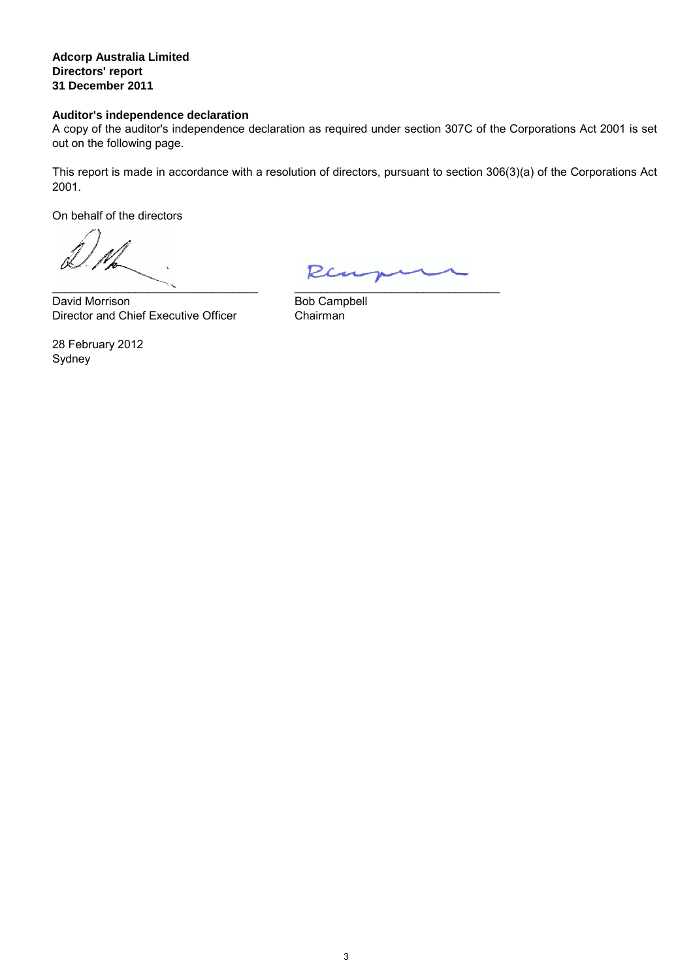**Adcorp Australia Limited Directors' report 31 December 2011**

#### **Auditor's independence declaration**

A copy of the auditor's independence declaration as required under section 307C of the Corporations Act 2001 is set out on the following page.

This report is made in accordance with a resolution of directors, pursuant to section 306(3)(a) of the Corporations Act 2001.

On behalf of the directors

\_\_\_\_\_\_\_\_\_\_\_\_\_\_\_\_\_\_\_\_\_\_\_\_\_\_\_\_\_\_\_\_

Director and Chief Executive Officer Chairman David Morrison

\_\_\_\_\_\_\_\_\_\_\_\_\_\_\_\_\_\_\_\_\_\_\_\_\_\_\_\_\_\_\_\_ Bob Campbell

Sydney 28 February 2012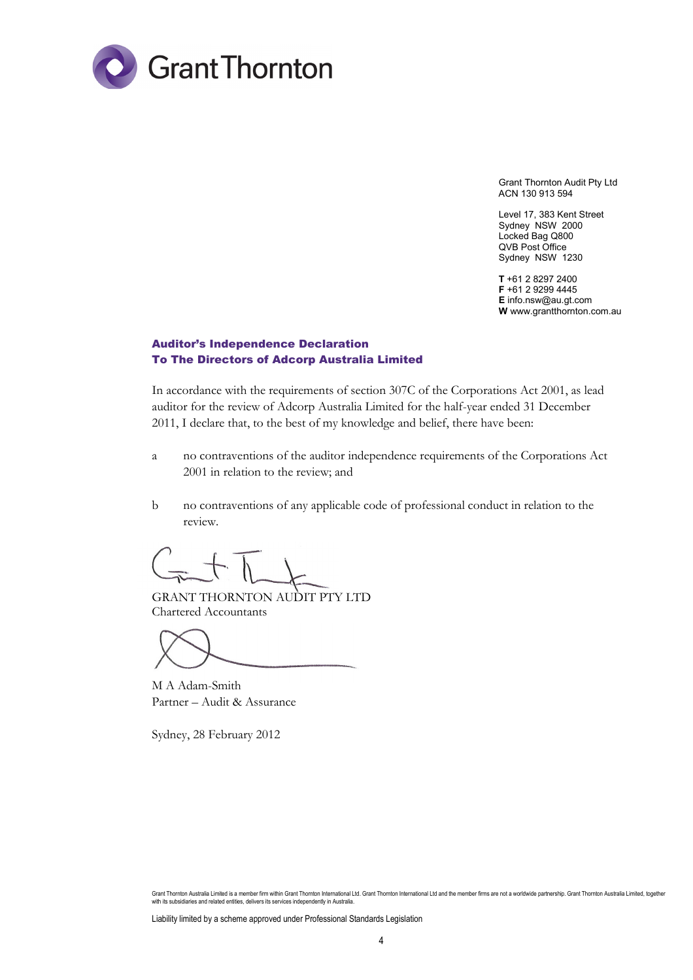

Grant Thornton Audit Pty Ltd ACN 130 913 594

Level 17, 383 Kent Street Sydney NSW 2000 Locked Bag Q800 QVB Post Office Sydney NSW 1230

**T** +61 2 8297 2400 **F** +61 2 9299 4445 **E** info.nsw@au.gt.com **W** www.grantthornton.com.au

#### Auditor's Independence Declaration To The Directors of Adcorp Australia Limited

In accordance with the requirements of section 307C of the Corporations Act 2001, as lead auditor for the review of Adcorp Australia Limited for the half-year ended 31 December 2011, I declare that, to the best of my knowledge and belief, there have been:

- a no contraventions of the auditor independence requirements of the Corporations Act 2001 in relation to the review; and
- b no contraventions of any applicable code of professional conduct in relation to the review.

GRANT THORNTON AUDIT PTY LTD Chartered Accountants

M A Adam-Smith Partner – Audit & Assurance

Sydney, 28 February 2012

Liability limited by a scheme approved under Professional Standards Legislation

Grant Thornton Australia Limited is a member firm within Grant Thornton International Ltd. Grant Thornton International Ltd and the member firms are not a worldwide partnership. Grant Thornton Australia Limited, together<br>w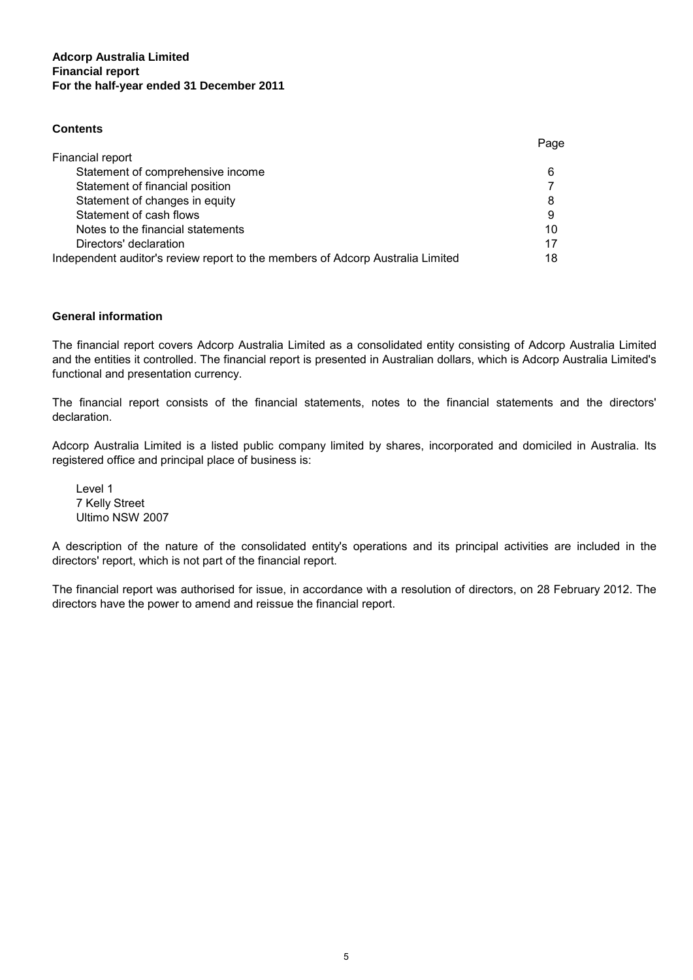#### **Adcorp Australia Limited For the half-year ended 31 December 2011 Financial report**

#### **Contents**

|                                                                                | Page |
|--------------------------------------------------------------------------------|------|
| Financial report                                                               |      |
| Statement of comprehensive income                                              | 6    |
| Statement of financial position                                                |      |
| Statement of changes in equity                                                 | 8    |
| Statement of cash flows                                                        | 9    |
| Notes to the financial statements                                              | 10   |
| Directors' declaration                                                         | 17   |
| Independent auditor's review report to the members of Adcorp Australia Limited | 18   |

#### **General information**

The financial report covers Adcorp Australia Limited as a consolidated entity consisting of Adcorp Australia Limited and the entities it controlled. The financial report is presented in Australian dollars, which is Adcorp Australia Limited's functional and presentation currency.

The financial report consists of the financial statements, notes to the financial statements and the directors' declaration.

Adcorp Australia Limited is a listed public company limited by shares, incorporated and domiciled in Australia. Its registered office and principal place of business is:

Level 1 7 Kelly Street Ultimo NSW 2007

A description of the nature of the consolidated entity's operations and its principal activities are included in the directors' report, which is not part of the financial report.

The financial report was authorised for issue, in accordance with a resolution of directors, on 28 February 2012. The directors have the power to amend and reissue the financial report.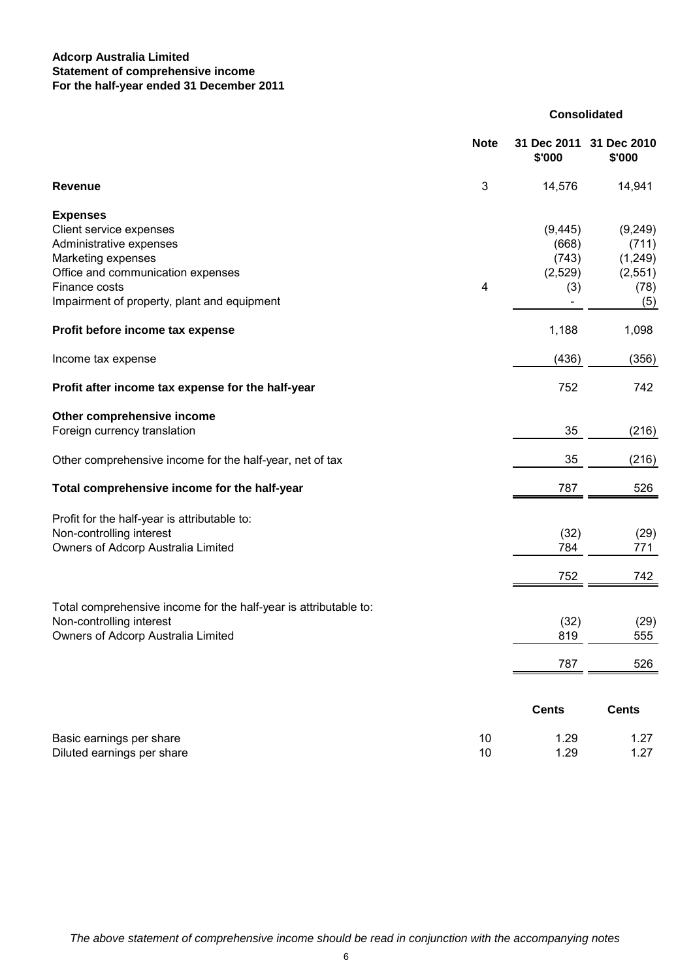#### **Adcorp Australia Limited For the half-year ended 31 December 2011 Statement of comprehensive income**

|                                                                  | <b>Note</b>  | 31 Dec 2011<br>\$'000    | 31 Dec 2010<br>\$'000 |
|------------------------------------------------------------------|--------------|--------------------------|-----------------------|
| <b>Revenue</b>                                                   | $\mathbf{3}$ | 14,576                   | 14,941                |
| <b>Expenses</b>                                                  |              |                          |                       |
| Client service expenses                                          |              | (9, 445)                 | (9, 249)              |
| Administrative expenses                                          |              | (668)                    | (711)                 |
| Marketing expenses                                               |              | (743)                    | (1,249)               |
| Office and communication expenses                                |              | (2,529)                  | (2, 551)              |
| Finance costs                                                    | 4            | (3)                      | (78)                  |
| Impairment of property, plant and equipment                      |              | $\overline{\phantom{a}}$ | (5)                   |
| Profit before income tax expense                                 |              | 1,188                    | 1,098                 |
| Income tax expense                                               |              | (436)                    | (356)                 |
| Profit after income tax expense for the half-year                |              | 752                      | 742                   |
| Other comprehensive income                                       |              |                          |                       |
| Foreign currency translation                                     |              | 35                       | (216)                 |
| Other comprehensive income for the half-year, net of tax         |              | 35                       | (216)                 |
| Total comprehensive income for the half-year                     |              | 787                      | 526                   |
| Profit for the half-year is attributable to:                     |              |                          |                       |
| Non-controlling interest                                         |              | (32)                     | (29)                  |
| Owners of Adcorp Australia Limited                               |              | 784                      | 771                   |
|                                                                  |              |                          |                       |
|                                                                  |              | 752                      | 742                   |
| Total comprehensive income for the half-year is attributable to: |              |                          |                       |
| Non-controlling interest                                         |              | (32)                     | (29)                  |
| Owners of Adcorp Australia Limited                               |              | 819                      | 555                   |
|                                                                  |              |                          |                       |
|                                                                  |              | 787                      | 526                   |
|                                                                  |              |                          |                       |
|                                                                  |              | <b>Cents</b>             | <b>Cents</b>          |
| Basic earnings per share                                         | 10           | 1.29                     | 1.27                  |
| Diluted earnings per share                                       | 10           | 1.29                     | 1.27                  |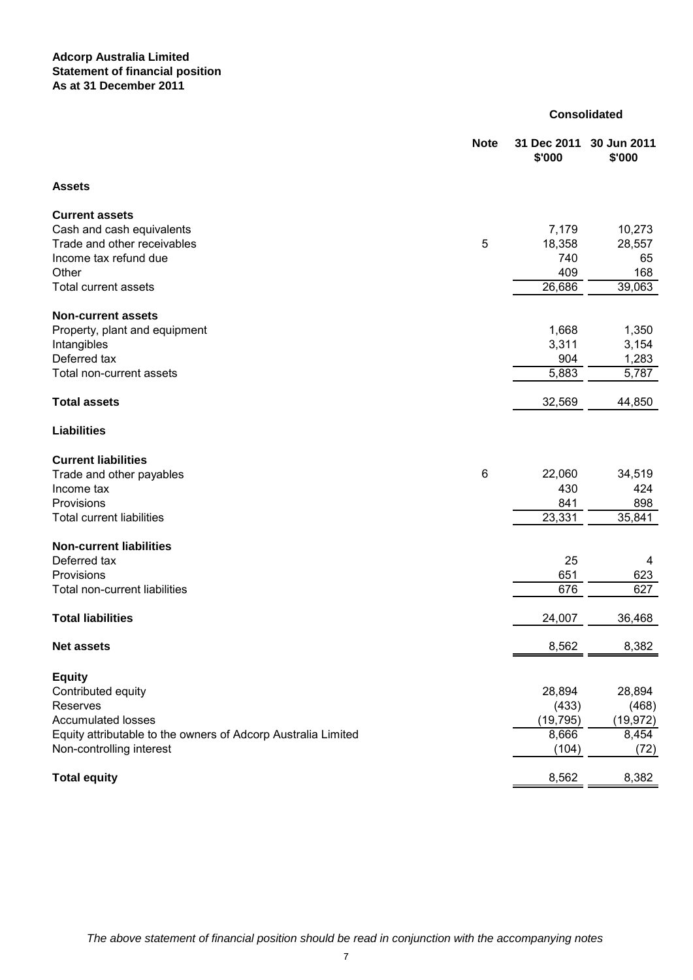#### **Adcorp Australia Limited Statement of financial position As at 31 December 2011**

|                                                               | <b>Note</b> | 31 Dec 2011<br>\$'000 | 30 Jun 2011<br>\$'000 |
|---------------------------------------------------------------|-------------|-----------------------|-----------------------|
| <b>Assets</b>                                                 |             |                       |                       |
| <b>Current assets</b>                                         |             |                       |                       |
| Cash and cash equivalents                                     |             | 7,179                 | 10,273                |
| Trade and other receivables                                   | 5           | 18,358                | 28,557                |
| Income tax refund due                                         |             | 740                   | 65                    |
| Other                                                         |             | 409                   | 168                   |
| <b>Total current assets</b>                                   |             | 26,686                | 39,063                |
| <b>Non-current assets</b>                                     |             |                       |                       |
| Property, plant and equipment                                 |             | 1,668                 | 1,350                 |
| Intangibles                                                   |             | 3,311                 | 3,154                 |
| Deferred tax                                                  |             | 904                   | 1,283                 |
| Total non-current assets                                      |             | 5,883                 | 5,787                 |
| <b>Total assets</b>                                           |             | 32,569                | 44,850                |
| <b>Liabilities</b>                                            |             |                       |                       |
| <b>Current liabilities</b>                                    |             |                       |                       |
| Trade and other payables                                      | 6           | 22,060                | 34,519                |
| Income tax                                                    |             | 430                   | 424                   |
| Provisions                                                    |             | 841                   | 898                   |
| <b>Total current liabilities</b>                              |             | 23,331                | 35,841                |
| <b>Non-current liabilities</b>                                |             |                       |                       |
| Deferred tax                                                  |             | 25                    | 4                     |
| Provisions                                                    |             | 651                   | 623                   |
| Total non-current liabilities                                 |             | 676                   | 627                   |
|                                                               |             |                       |                       |
| <b>Total liabilities</b>                                      |             | 24,007                | 36,468                |
| <b>Net assets</b>                                             |             | 8,562                 | 8,382                 |
| <b>Equity</b>                                                 |             |                       |                       |
| Contributed equity                                            |             | 28,894                | 28,894                |
| Reserves                                                      |             | (433)                 | (468)                 |
| <b>Accumulated losses</b>                                     |             | (19, 795)             | (19, 972)             |
| Equity attributable to the owners of Adcorp Australia Limited |             | 8,666                 | 8,454                 |
| Non-controlling interest                                      |             | (104)                 | (72)                  |
| <b>Total equity</b>                                           |             | 8,562                 | 8,382                 |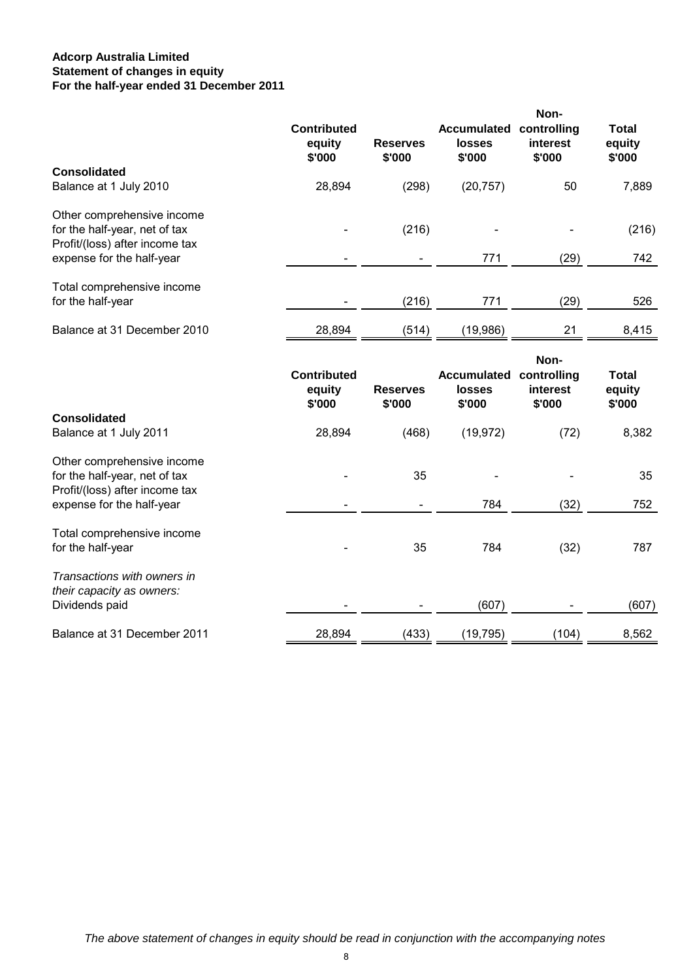#### **Adcorp Australia Limited For the half-year ended 31 December 2011 Statement of changes in equity**

|                                                             | <b>Contributed</b><br>equity<br>\$'000 | <b>Reserves</b><br>\$'000 | <b>Accumulated</b><br>losses<br>\$'000 | Non-<br>controlling<br>interest<br>\$'000 | <b>Total</b><br>equity<br>\$'000 |
|-------------------------------------------------------------|----------------------------------------|---------------------------|----------------------------------------|-------------------------------------------|----------------------------------|
| <b>Consolidated</b>                                         |                                        |                           |                                        |                                           |                                  |
| Balance at 1 July 2010                                      | 28,894                                 | (298)                     | (20, 757)                              | 50                                        | 7,889                            |
| Other comprehensive income<br>for the half-year, net of tax |                                        | (216)                     |                                        |                                           | (216)                            |
| Profit/(loss) after income tax                              |                                        |                           |                                        |                                           |                                  |
| expense for the half-year                                   |                                        |                           | 771                                    | (29)                                      | 742                              |
| Total comprehensive income                                  |                                        |                           |                                        |                                           |                                  |
| for the half-year                                           |                                        | (216)                     | 771                                    | (29)                                      | 526                              |
| Balance at 31 December 2010                                 | 28,894                                 | (514)                     | (19,986)                               | 21                                        | 8,415                            |
|                                                             | <b>Contributed</b><br>equity<br>\$'000 | <b>Reserves</b><br>\$'000 | <b>Accumulated</b><br>losses<br>\$'000 | Non-<br>controlling<br>interest<br>\$'000 | <b>Total</b><br>equity<br>\$'000 |
| <b>Consolidated</b>                                         |                                        |                           |                                        |                                           |                                  |
| Balance at 1 July 2011                                      | 28,894                                 | (468)                     | (19, 972)                              | (72)                                      | 8,382                            |
| Other comprehensive income<br>for the half-year, net of tax |                                        | 35                        |                                        |                                           | 35                               |
| Profit/(loss) after income tax<br>expense for the half-year |                                        |                           | 784                                    | (32)                                      | 752                              |
|                                                             |                                        |                           |                                        |                                           |                                  |
| Total comprehensive income<br>for the half-year             |                                        | 35                        | 784                                    | (32)                                      | 787                              |
| Transactions with owners in<br>their capacity as owners:    |                                        |                           |                                        |                                           |                                  |
| Dividends paid                                              |                                        |                           | (607)                                  |                                           | (607)                            |
| Balance at 31 December 2011                                 | 28,894                                 | (433)                     | (19,795)                               | (104)                                     | 8,562                            |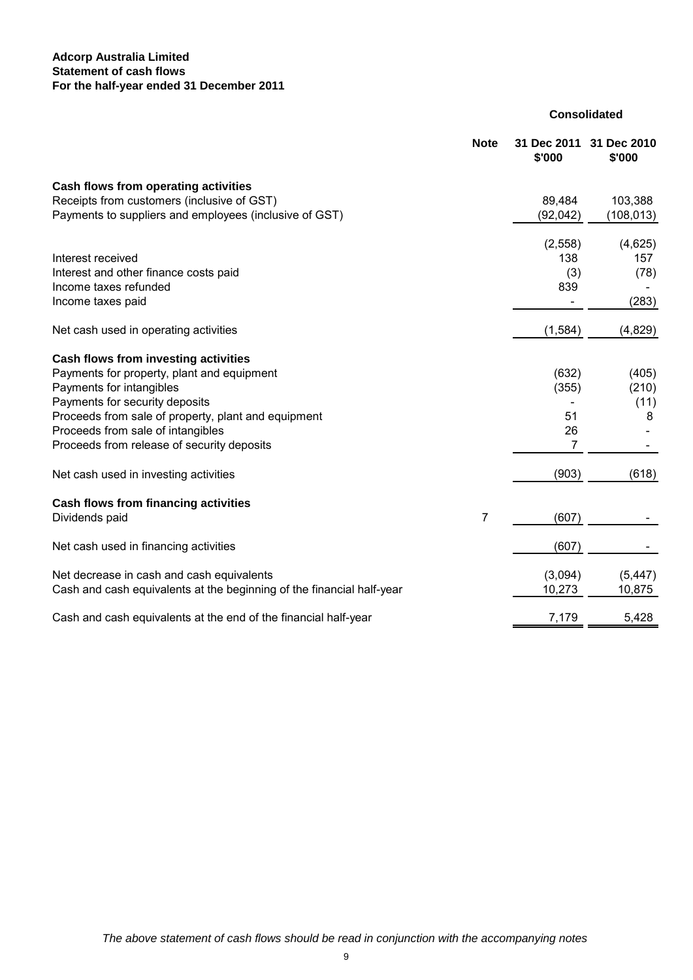#### **Adcorp Australia Limited For the half-year ended 31 December 2011 Statement of cash flows**

|                                                                       | <b>Note</b>    | 31 Dec 2011<br>\$'000 | 31 Dec 2010<br>\$'000 |
|-----------------------------------------------------------------------|----------------|-----------------------|-----------------------|
| Cash flows from operating activities                                  |                |                       |                       |
| Receipts from customers (inclusive of GST)                            |                | 89,484                | 103,388               |
| Payments to suppliers and employees (inclusive of GST)                |                | (92, 042)             | (108, 013)            |
|                                                                       |                | (2, 558)              | (4,625)               |
| Interest received                                                     |                | 138                   | 157                   |
| Interest and other finance costs paid                                 |                | (3)                   | (78)                  |
| Income taxes refunded                                                 |                | 839                   |                       |
| Income taxes paid                                                     |                |                       | (283)                 |
| Net cash used in operating activities                                 |                | (1, 584)              | (4,829)               |
| Cash flows from investing activities                                  |                |                       |                       |
| Payments for property, plant and equipment                            |                | (632)                 | (405)                 |
| Payments for intangibles                                              |                | (355)                 | (210)                 |
| Payments for security deposits                                        |                |                       | (11)                  |
| Proceeds from sale of property, plant and equipment                   |                | 51                    | 8                     |
| Proceeds from sale of intangibles                                     |                | 26                    |                       |
| Proceeds from release of security deposits                            |                | 7                     |                       |
| Net cash used in investing activities                                 |                | (903)                 | (618)                 |
| Cash flows from financing activities                                  |                |                       |                       |
| Dividends paid                                                        | $\overline{7}$ | (607)                 |                       |
| Net cash used in financing activities                                 |                | (607)                 |                       |
| Net decrease in cash and cash equivalents                             |                | (3,094)               | (5, 447)              |
| Cash and cash equivalents at the beginning of the financial half-year |                | 10,273                | 10,875                |
| Cash and cash equivalents at the end of the financial half-year       |                | 7,179                 | 5,428                 |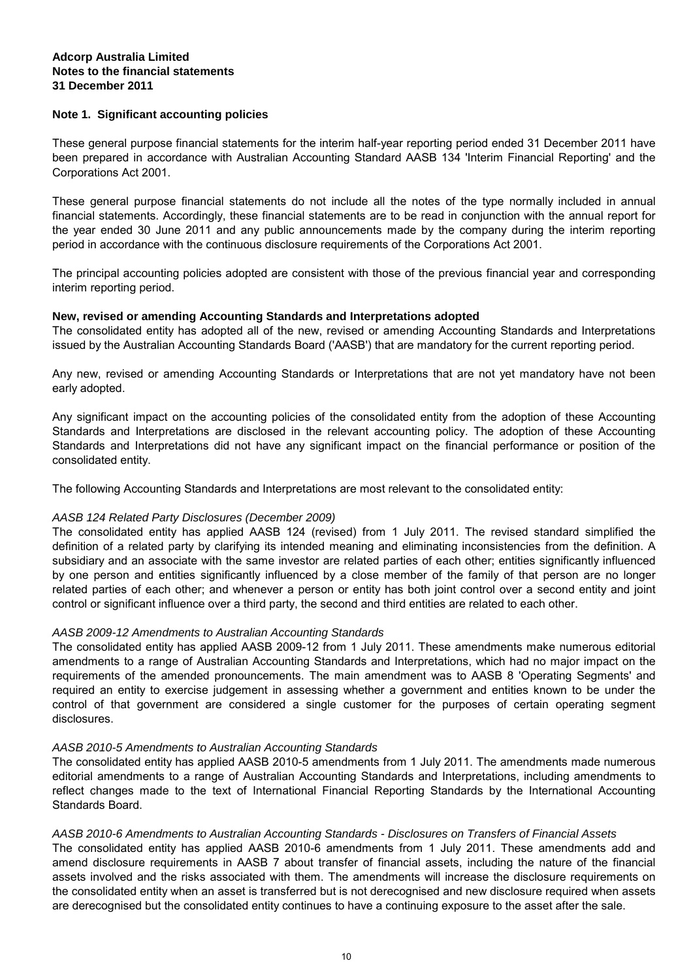#### **Note 1. Significant accounting policies**

These general purpose financial statements for the interim half-year reporting period ended 31 December 2011 have been prepared in accordance with Australian Accounting Standard AASB 134 'Interim Financial Reporting' and the Corporations Act 2001.

These general purpose financial statements do not include all the notes of the type normally included in annual financial statements. Accordingly, these financial statements are to be read in conjunction with the annual report for the year ended 30 June 2011 and any public announcements made by the company during the interim reporting period in accordance with the continuous disclosure requirements of the Corporations Act 2001.

The principal accounting policies adopted are consistent with those of the previous financial year and corresponding interim reporting period.

#### **New, revised or amending Accounting Standards and Interpretations adopted**

The consolidated entity has adopted all of the new, revised or amending Accounting Standards and Interpretations issued by the Australian Accounting Standards Board ('AASB') that are mandatory for the current reporting period.

Any new, revised or amending Accounting Standards or Interpretations that are not yet mandatory have not been early adopted.

Any significant impact on the accounting policies of the consolidated entity from the adoption of these Accounting Standards and Interpretations are disclosed in the relevant accounting policy. The adoption of these Accounting Standards and Interpretations did not have any significant impact on the financial performance or position of the consolidated entity.

The following Accounting Standards and Interpretations are most relevant to the consolidated entity:

#### *AASB 124 Related Party Disclosures (December 2009)*

The consolidated entity has applied AASB 124 (revised) from 1 July 2011. The revised standard simplified the definition of a related party by clarifying its intended meaning and eliminating inconsistencies from the definition. A subsidiary and an associate with the same investor are related parties of each other; entities significantly influenced by one person and entities significantly influenced by a close member of the family of that person are no longer related parties of each other; and whenever a person or entity has both joint control over a second entity and joint control or significant influence over a third party, the second and third entities are related to each other.

#### *AASB 2009-12 Amendments to Australian Accounting Standards*

The consolidated entity has applied AASB 2009-12 from 1 July 2011. These amendments make numerous editorial amendments to a range of Australian Accounting Standards and Interpretations, which had no major impact on the requirements of the amended pronouncements. The main amendment was to AASB 8 'Operating Segments' and required an entity to exercise judgement in assessing whether a government and entities known to be under the control of that government are considered a single customer for the purposes of certain operating segment disclosures.

#### *AASB 2010-5 Amendments to Australian Accounting Standards*

The consolidated entity has applied AASB 2010-5 amendments from 1 July 2011. The amendments made numerous editorial amendments to a range of Australian Accounting Standards and Interpretations, including amendments to reflect changes made to the text of International Financial Reporting Standards by the International Accounting Standards Board.

#### *AASB 2010-6 Amendments to Australian Accounting Standards - Disclosures on Transfers of Financial Assets*

The consolidated entity has applied AASB 2010-6 amendments from 1 July 2011. These amendments add and amend disclosure requirements in AASB 7 about transfer of financial assets, including the nature of the financial assets involved and the risks associated with them. The amendments will increase the disclosure requirements on the consolidated entity when an asset is transferred but is not derecognised and new disclosure required when assets are derecognised but the consolidated entity continues to have a continuing exposure to the asset after the sale.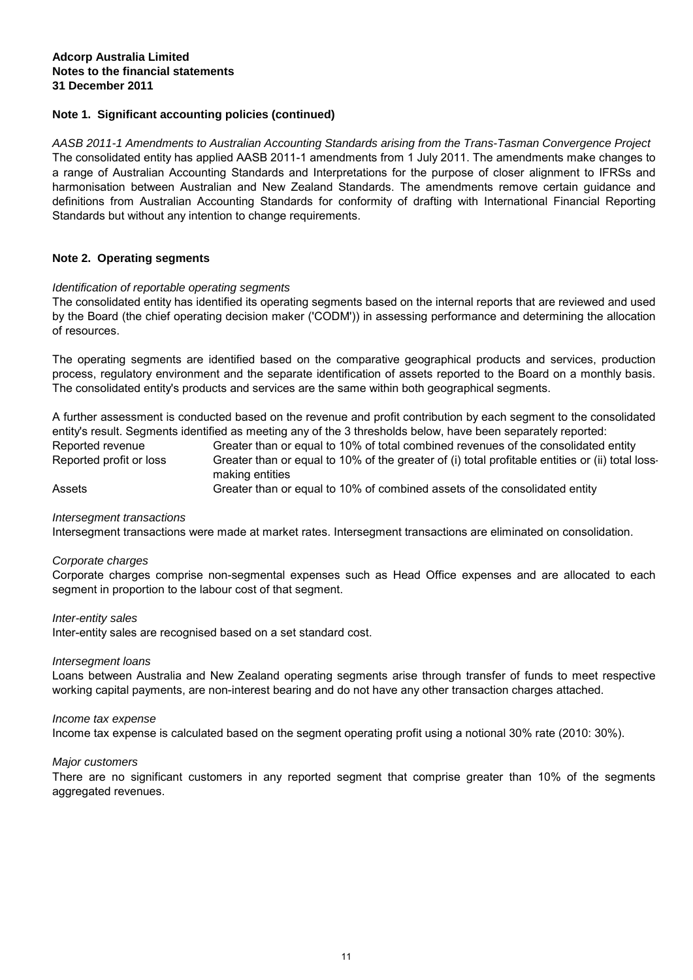#### **Note 1. Significant accounting policies (continued)**

*AASB 2011-1 Amendments to Australian Accounting Standards arising from the Trans-Tasman Convergence Project* The consolidated entity has applied AASB 2011-1 amendments from 1 July 2011. The amendments make changes to a range of Australian Accounting Standards and Interpretations for the purpose of closer alignment to IFRSs and harmonisation between Australian and New Zealand Standards. The amendments remove certain guidance and definitions from Australian Accounting Standards for conformity of drafting with International Financial Reporting Standards but without any intention to change requirements.

#### **Note 2. Operating segments**

#### *Identification of reportable operating segments*

The consolidated entity has identified its operating segments based on the internal reports that are reviewed and used by the Board (the chief operating decision maker ('CODM')) in assessing performance and determining the allocation of resources.

The operating segments are identified based on the comparative geographical products and services, production process, regulatory environment and the separate identification of assets reported to the Board on a monthly basis. The consolidated entity's products and services are the same within both geographical segments.

Greater than or equal to 10% of the greater of (i) total profitable entities or (ii) total lossmaking entities Greater than or equal to 10% of total combined revenues of the consolidated entity Reported profit or loss A further assessment is conducted based on the revenue and profit contribution by each segment to the consolidated entity's result. Segments identified as meeting any of the 3 thresholds below, have been separately reported: Reported revenue

Greater than or equal to 10% of combined assets of the consolidated entity Assets

#### *Intersegment transactions*

Intersegment transactions were made at market rates. Intersegment transactions are eliminated on consolidation.

#### *Corporate charges*

Corporate charges comprise non-segmental expenses such as Head Office expenses and are allocated to each segment in proportion to the labour cost of that segment.

#### *Inter-entity sales*

Inter-entity sales are recognised based on a set standard cost.

#### *Intersegment loans*

Loans between Australia and New Zealand operating segments arise through transfer of funds to meet respective working capital payments, are non-interest bearing and do not have any other transaction charges attached.

#### *Income tax expense*

Income tax expense is calculated based on the segment operating profit using a notional 30% rate (2010: 30%).

#### *Major customers*

There are no significant customers in any reported segment that comprise greater than 10% of the segments aggregated revenues.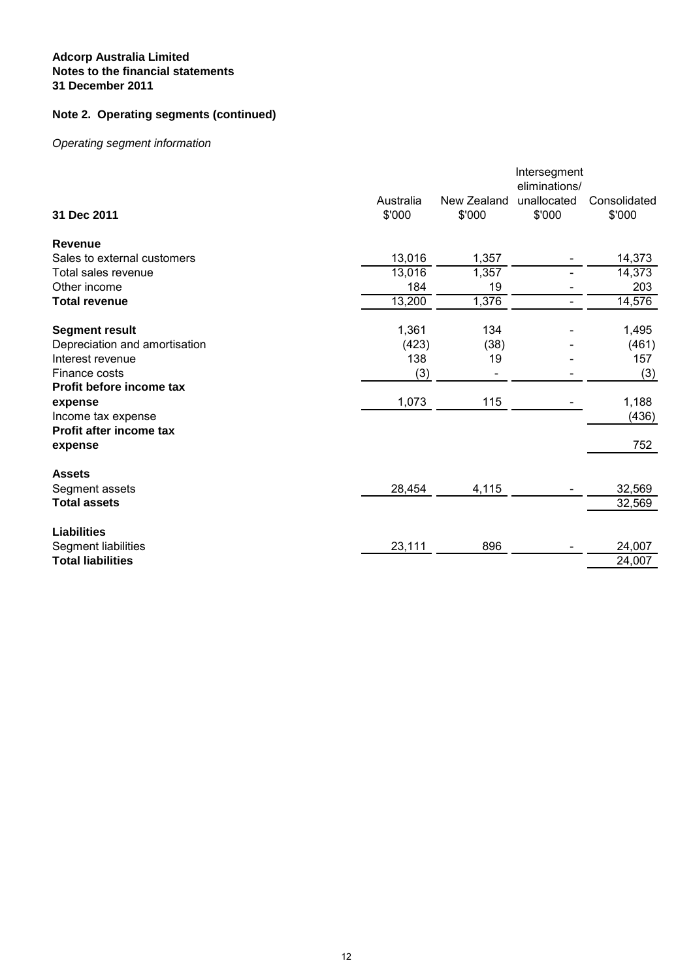## **Note 2. Operating segments (continued)**

## *Operating segment information*

|                               | Australia | New Zealand | Intersegment<br>eliminations/<br>unallocated | Consolidated |
|-------------------------------|-----------|-------------|----------------------------------------------|--------------|
| 31 Dec 2011                   | \$'000    | \$'000      | \$'000                                       | \$'000       |
| Revenue                       |           |             |                                              |              |
| Sales to external customers   | 13,016    | 1,357       |                                              | 14,373       |
| Total sales revenue           | 13,016    | 1,357       |                                              | 14,373       |
| Other income                  | 184       | 19          |                                              | 203          |
| <b>Total revenue</b>          | 13,200    | 1,376       |                                              | 14,576       |
| <b>Segment result</b>         | 1,361     | 134         |                                              | 1,495        |
| Depreciation and amortisation | (423)     | (38)        |                                              | (461)        |
| Interest revenue              | 138       | 19          |                                              | 157          |
| Finance costs                 | (3)       |             |                                              | (3)          |
| Profit before income tax      |           |             |                                              |              |
| expense                       | 1,073     | 115         |                                              | 1,188        |
| Income tax expense            |           |             |                                              | (436)        |
| Profit after income tax       |           |             |                                              |              |
| expense                       |           |             |                                              | 752          |
| <b>Assets</b>                 |           |             |                                              |              |
| Segment assets                | 28,454    | 4,115       |                                              | 32,569       |
| <b>Total assets</b>           |           |             |                                              | 32,569       |
| <b>Liabilities</b>            |           |             |                                              |              |
| Segment liabilities           | 23,111    | 896         |                                              | 24,007       |
| <b>Total liabilities</b>      |           |             |                                              | 24,007       |
|                               |           |             |                                              |              |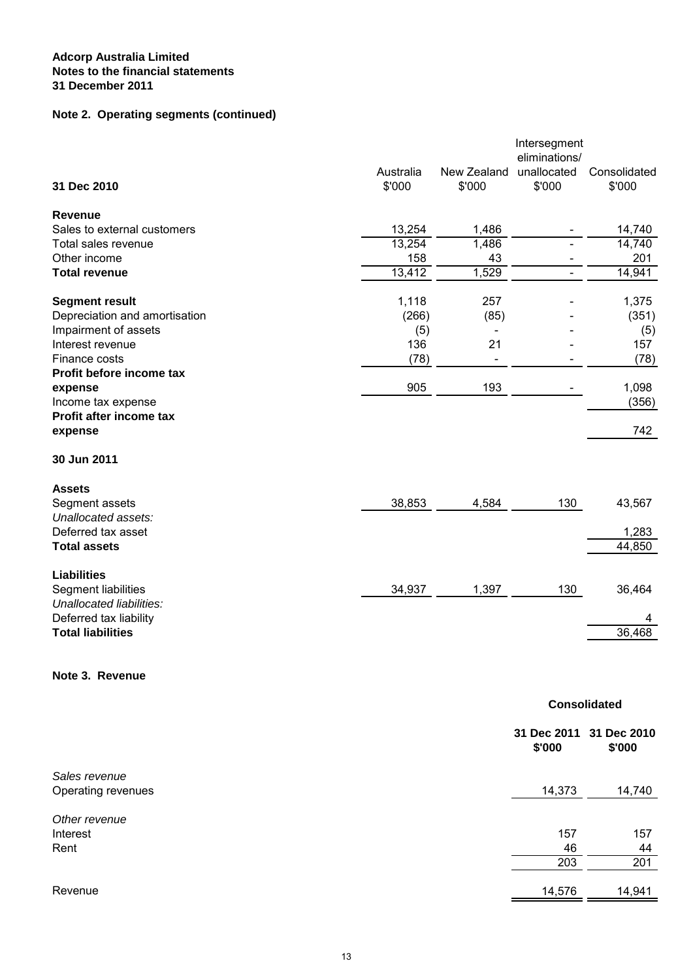## **Note 2. Operating segments (continued)**

|                                    |                     |                          | Intersegment<br>eliminations/ |                        |
|------------------------------------|---------------------|--------------------------|-------------------------------|------------------------|
| 31 Dec 2010                        | Australia<br>\$'000 | New Zealand<br>\$'000    | unallocated<br>\$'000         | Consolidated<br>\$'000 |
| <b>Revenue</b>                     |                     |                          |                               |                        |
| Sales to external customers        | 13,254              | 1,486                    |                               | 14,740                 |
| Total sales revenue                | 13,254              | 1,486                    |                               | 14,740                 |
| Other income                       | 158                 | 43                       |                               | 201                    |
| <b>Total revenue</b>               | 13,412              | 1,529                    | $\overline{\phantom{a}}$      | 14,941                 |
| <b>Segment result</b>              | 1,118               | 257                      |                               | 1,375                  |
| Depreciation and amortisation      | (266)               | (85)                     |                               | (351)                  |
| Impairment of assets               | (5)                 | $\overline{\phantom{a}}$ |                               | (5)                    |
| Interest revenue                   | 136                 | 21                       |                               | 157                    |
| Finance costs                      | (78)                |                          |                               | (78)                   |
| Profit before income tax           |                     |                          |                               |                        |
| expense                            | 905                 | 193                      |                               | 1,098                  |
| Income tax expense                 |                     |                          |                               | (356)                  |
| Profit after income tax<br>expense |                     |                          |                               | 742                    |
| 30 Jun 2011                        |                     |                          |                               |                        |
|                                    |                     |                          |                               |                        |
| <b>Assets</b>                      |                     |                          |                               |                        |
| Segment assets                     | 38,853              | 4,584                    | 130                           | 43,567                 |
| Unallocated assets:                |                     |                          |                               |                        |
| Deferred tax asset                 |                     |                          |                               | 1,283                  |
| <b>Total assets</b>                |                     |                          |                               | 44,850                 |
| <b>Liabilities</b>                 |                     |                          |                               |                        |
| Segment liabilities                | 34,937              | 1,397                    | 130                           | 36,464                 |
| Unallocated liabilities:           |                     |                          |                               |                        |
| Deferred tax liability             |                     |                          |                               | 4                      |
| <b>Total liabilities</b>           |                     |                          |                               | 36,468                 |
| Note 3. Revenue                    |                     |                          |                               |                        |
|                                    |                     |                          |                               | <b>Consolidated</b>    |
|                                    |                     |                          | 31 Dec 2011<br>\$'000         | 31 Dec 2010<br>\$'000  |
| Sales revenue                      |                     |                          |                               |                        |
| Operating revenues                 |                     |                          | 14,373                        | 14,740                 |
| Other revenue<br>Interest          |                     |                          | 157                           | 157                    |

Rent

Revenue - - 14,941 14,941 14,941 14,941 14,0576 14,941 14,0576 14,041 14,0576 14,041 15

 $\frac{46}{203}$   $\frac{44}{201}$ 

 $203$  201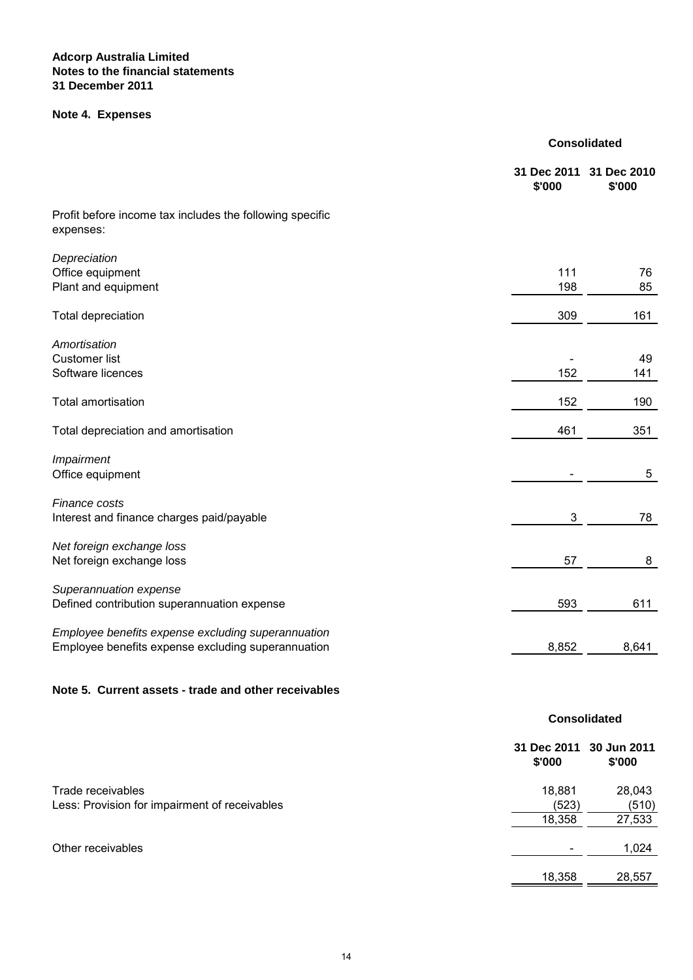## **Note 4. Expenses**

|                                                                       | 31 Dec 2011<br>\$'000 | 31 Dec 2010<br>\$'000 |  |
|-----------------------------------------------------------------------|-----------------------|-----------------------|--|
| Profit before income tax includes the following specific<br>expenses: |                       |                       |  |
| Depreciation                                                          |                       |                       |  |
| Office equipment                                                      | 111                   | 76                    |  |
| Plant and equipment                                                   | 198                   | 85                    |  |
| Total depreciation                                                    | 309                   | 161                   |  |
| Amortisation                                                          |                       |                       |  |
| <b>Customer list</b>                                                  |                       | 49                    |  |
| Software licences                                                     | 152                   | 141                   |  |
| <b>Total amortisation</b>                                             | 152                   | 190                   |  |
| Total depreciation and amortisation                                   | 461                   | 351                   |  |
| Impairment                                                            |                       |                       |  |
| Office equipment                                                      |                       | 5                     |  |
| Finance costs                                                         |                       |                       |  |
| Interest and finance charges paid/payable                             | 3                     | 78                    |  |
| Net foreign exchange loss                                             |                       |                       |  |
| Net foreign exchange loss                                             | 57                    | 8                     |  |
| Superannuation expense                                                |                       |                       |  |
| Defined contribution superannuation expense                           | 593                   | 611                   |  |
| Employee benefits expense excluding superannuation                    |                       |                       |  |
| Employee benefits expense excluding superannuation                    | 8,852                 | 8,641                 |  |
|                                                                       |                       |                       |  |
| Note 5. Current assets - trade and other receivables                  |                       |                       |  |
|                                                                       |                       | <b>Consolidated</b>   |  |
|                                                                       | 31 Dec 2011<br>\$'000 | 30 Jun 2011<br>\$'000 |  |
| Trade receivables                                                     | 18,881                | 28,043                |  |
| Less: Provision for impairment of receivables                         | (523)                 | (510)                 |  |
|                                                                       | 18,358                | 27,533                |  |
| Other receivables                                                     |                       | 1,024                 |  |
|                                                                       | 18,358                | 28,557                |  |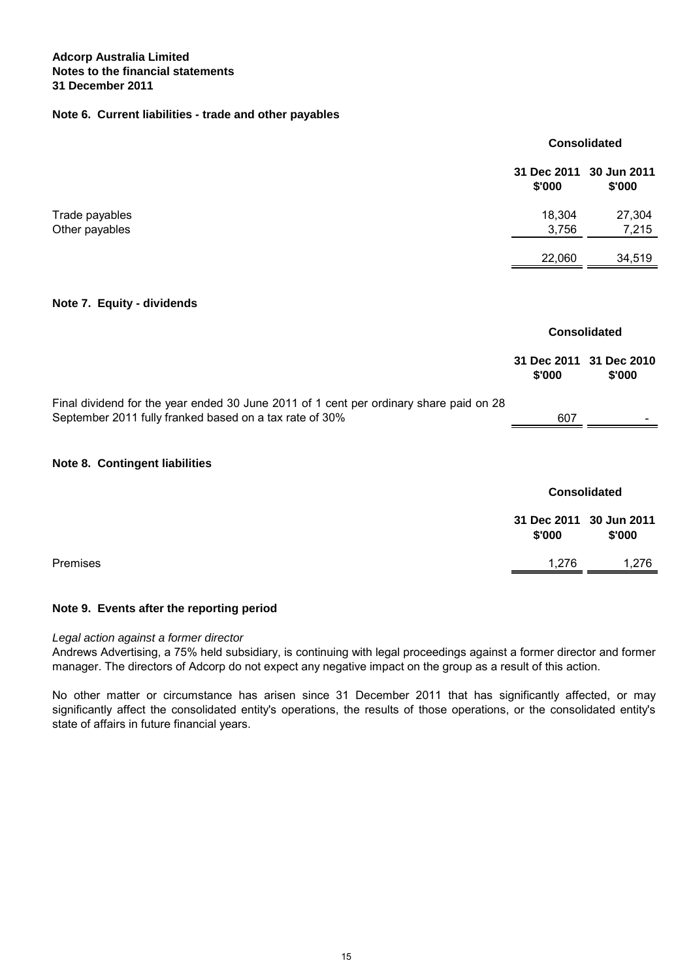#### **Note 6. Current liabilities - trade and other payables**

|                                                                                                                                                   | <b>Consolidated</b>   |                       |
|---------------------------------------------------------------------------------------------------------------------------------------------------|-----------------------|-----------------------|
|                                                                                                                                                   | 31 Dec 2011<br>\$'000 | 30 Jun 2011<br>\$'000 |
| Trade payables<br>Other payables                                                                                                                  | 18,304<br>3,756       | 27,304<br>7,215       |
|                                                                                                                                                   | 22,060                | 34,519                |
| Note 7. Equity - dividends                                                                                                                        |                       |                       |
|                                                                                                                                                   | <b>Consolidated</b>   |                       |
|                                                                                                                                                   | 31 Dec 2011<br>\$'000 | 31 Dec 2010<br>\$'000 |
| Final dividend for the year ended 30 June 2011 of 1 cent per ordinary share paid on 28<br>September 2011 fully franked based on a tax rate of 30% | 607                   |                       |
| Note 8. Contingent liabilities                                                                                                                    |                       |                       |
|                                                                                                                                                   | <b>Consolidated</b>   |                       |
|                                                                                                                                                   | 31 Dec 2011<br>\$'000 | 30 Jun 2011<br>\$'000 |
| Premises                                                                                                                                          | 1,276                 | 1,276                 |

#### **Note 9. Events after the reporting period**

#### *Legal action against a former director*

Andrews Advertising, a 75% held subsidiary, is continuing with legal proceedings against a former director and former manager. The directors of Adcorp do not expect any negative impact on the group as a result of this action.

No other matter or circumstance has arisen since 31 December 2011 that has significantly affected, or may significantly affect the consolidated entity's operations, the results of those operations, or the consolidated entity's state of affairs in future financial years.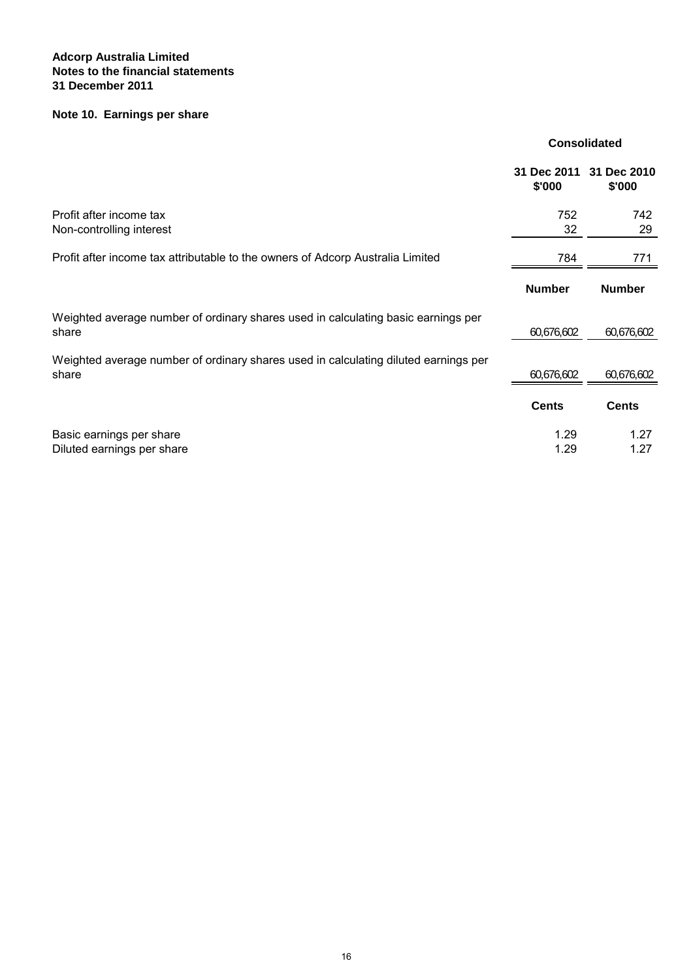## **Note 10. Earnings per share**

|                                                                                              | 31 Dec 2011<br>\$'000 | 31 Dec 2010<br>\$'000 |
|----------------------------------------------------------------------------------------------|-----------------------|-----------------------|
| Profit after income tax<br>Non-controlling interest                                          | 752<br>32             | 742<br>29             |
| Profit after income tax attributable to the owners of Adcorp Australia Limited               | 784                   | 771                   |
|                                                                                              | <b>Number</b>         | <b>Number</b>         |
| Weighted average number of ordinary shares used in calculating basic earnings per<br>share   | 60,676,602            | 60,676,602            |
| Weighted average number of ordinary shares used in calculating diluted earnings per<br>share | 60,676,602            | 60,676,602            |
|                                                                                              | <b>Cents</b>          | <b>Cents</b>          |
| Basic earnings per share<br>Diluted earnings per share                                       | 1.29<br>1.29          | 1.27<br>1.27          |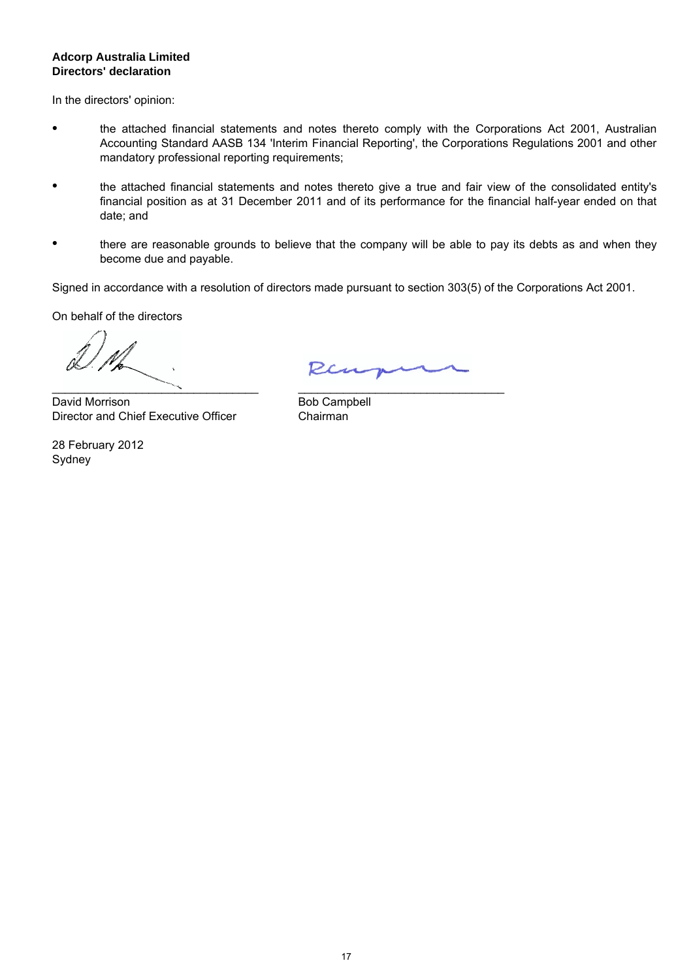#### **Directors' declaration Adcorp Australia Limited**

In the directors' opinion:

- the attached financial statements and notes thereto comply with the Corporations Act 2001, Australian Accounting Standard AASB 134 'Interim Financial Reporting', the Corporations Regulations 2001 and other mandatory professional reporting requirements;
- the attached financial statements and notes thereto give a true and fair view of the consolidated entity's financial position as at 31 December 2011 and of its performance for the financial half-year ended on that date; and
- there are reasonable grounds to believe that the company will be able to pay its debts as and when they become due and payable.

Signed in accordance with a resolution of directors made pursuant to section 303(5) of the Corporations Act 2001.

On behalf of the directors

 $\mathcal{L}$  , we are the set of the set of the set of the set of the set of the set of the set of the set of the set of the set of the set of the set of the set of the set of the set of the set of the set of the set of the s

David Morrison Director and Chief Executive Officer

Sydney 28 February 2012

Ren

\_\_\_\_\_\_\_\_\_\_\_\_\_\_\_\_\_\_\_\_\_\_\_\_\_\_\_\_\_\_\_\_

Bob Campbell Chairman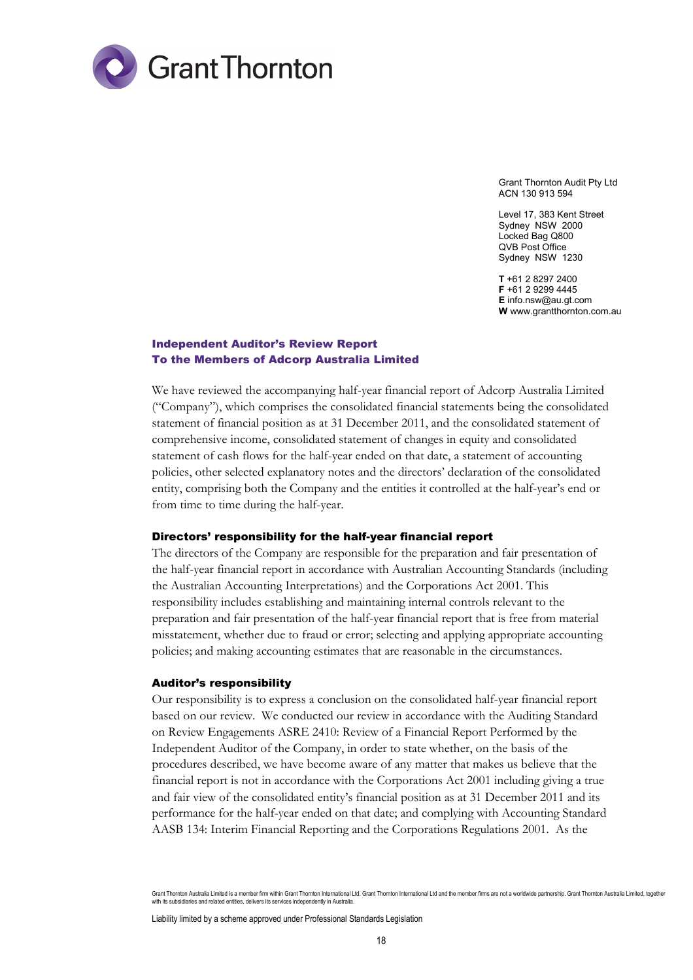

Grant Thornton Audit Pty Ltd ACN 130 913 594

Level 17, 383 Kent Street Sydney NSW 2000 Locked Bag Q800 QVB Post Office Sydney NSW 1230

**T** +61 2 8297 2400 **F** +61 2 9299 4445 **E** info.nsw@au.gt.com **W** www.grantthornton.com.au

#### Independent Auditor's Review Report To the Members of Adcorp Australia Limited

We have reviewed the accompanying half-year financial report of Adcorp Australia Limited ("Company"), which comprises the consolidated financial statements being the consolidated statement of financial position as at 31 December 2011, and the consolidated statement of comprehensive income, consolidated statement of changes in equity and consolidated statement of cash flows for the half-year ended on that date, a statement of accounting policies, other selected explanatory notes and the directors' declaration of the consolidated entity, comprising both the Company and the entities it controlled at the half-year's end or from time to time during the half-year.

#### Directors' responsibility for the half-year financial report

The directors of the Company are responsible for the preparation and fair presentation of the half-year financial report in accordance with Australian Accounting Standards (including the Australian Accounting Interpretations) and the Corporations Act 2001. This responsibility includes establishing and maintaining internal controls relevant to the preparation and fair presentation of the half-year financial report that is free from material misstatement, whether due to fraud or error; selecting and applying appropriate accounting policies; and making accounting estimates that are reasonable in the circumstances.

#### Auditor's responsibility

Our responsibility is to express a conclusion on the consolidated half-year financial report based on our review. We conducted our review in accordance with the Auditing Standard on Review Engagements ASRE 2410: Review of a Financial Report Performed by the Independent Auditor of the Company, in order to state whether, on the basis of the procedures described, we have become aware of any matter that makes us believe that the financial report is not in accordance with the Corporations Act 2001 including giving a true and fair view of the consolidated entity's financial position as at 31 December 2011 and its performance for the half-year ended on that date; and complying with Accounting Standard AASB 134: Interim Financial Reporting and the Corporations Regulations 2001. As the

Liability limited by a scheme approved under Professional Standards Legislation

Grant Thornton Australia Limited is a member firm within Grant Thornton International Ltd. Grant Thornton International Ltd and the member firms are not a worldwide partnership. Grant Thornton Australia Limited, together with its subsidiaries and related entities, delivers its services independently in Australi